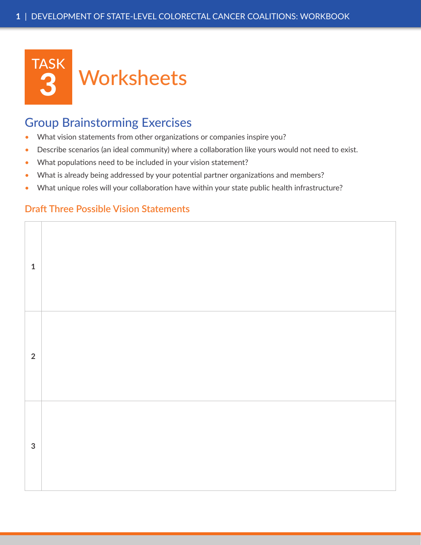

## Group Brainstorming Exercises

- What vision statements from other organizations or companies inspire you?
- Describe scenarios (an ideal community) where a collaboration like yours would not need to exist.
- What populations need to be included in your vision statement?
- What is already being addressed by your potential partner organizations and members?
- What unique roles will your collaboration have within your state public health infrastructure?

## **Draft Three Possible Vision Statements**

| $\mathbf 1$    |  |
|----------------|--|
| $\overline{2}$ |  |
| $\mathbf{3}$   |  |